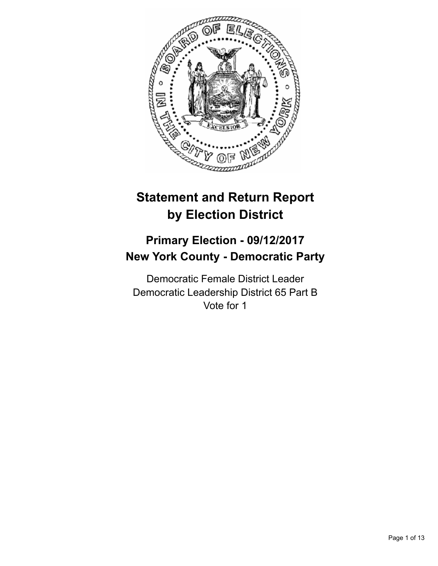

# **Statement and Return Report by Election District**

## **Primary Election - 09/12/2017 New York County - Democratic Party**

Democratic Female District Leader Democratic Leadership District 65 Part B Vote for 1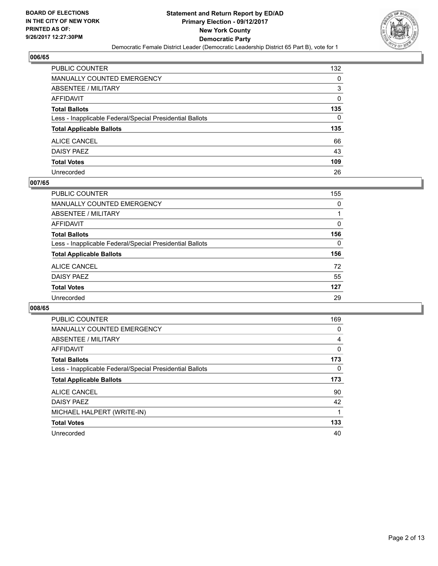

| <b>PUBLIC COUNTER</b>                                    | 132 |
|----------------------------------------------------------|-----|
| MANUALLY COUNTED EMERGENCY                               | 0   |
| ABSENTEE / MILITARY                                      | 3   |
| <b>AFFIDAVIT</b>                                         | 0   |
| <b>Total Ballots</b>                                     | 135 |
| Less - Inapplicable Federal/Special Presidential Ballots | 0   |
| <b>Total Applicable Ballots</b>                          | 135 |
| ALICE CANCEL                                             | 66  |
| DAISY PAEZ                                               | 43  |
| <b>Total Votes</b>                                       | 109 |
| Unrecorded                                               | 26  |

#### **007/65**

| PUBLIC COUNTER                                           | 155 |
|----------------------------------------------------------|-----|
| <b>MANUALLY COUNTED EMERGENCY</b>                        | 0   |
| ABSENTEE / MILITARY                                      |     |
| AFFIDAVIT                                                | 0   |
| <b>Total Ballots</b>                                     | 156 |
| Less - Inapplicable Federal/Special Presidential Ballots | 0   |
| <b>Total Applicable Ballots</b>                          | 156 |
| <b>ALICE CANCEL</b>                                      | 72  |
| DAISY PAEZ                                               | 55  |
| <b>Total Votes</b>                                       | 127 |
| Unrecorded                                               | 29  |

| <b>PUBLIC COUNTER</b>                                    | 169 |
|----------------------------------------------------------|-----|
| <b>MANUALLY COUNTED EMERGENCY</b>                        | 0   |
| ABSENTEE / MILITARY                                      | 4   |
| <b>AFFIDAVIT</b>                                         | 0   |
| <b>Total Ballots</b>                                     | 173 |
| Less - Inapplicable Federal/Special Presidential Ballots | 0   |
| <b>Total Applicable Ballots</b>                          | 173 |
| ALICE CANCEL                                             | 90  |
| DAISY PAEZ                                               | 42  |
| MICHAEL HALPERT (WRITE-IN)                               |     |
| <b>Total Votes</b>                                       | 133 |
| Unrecorded                                               | 40  |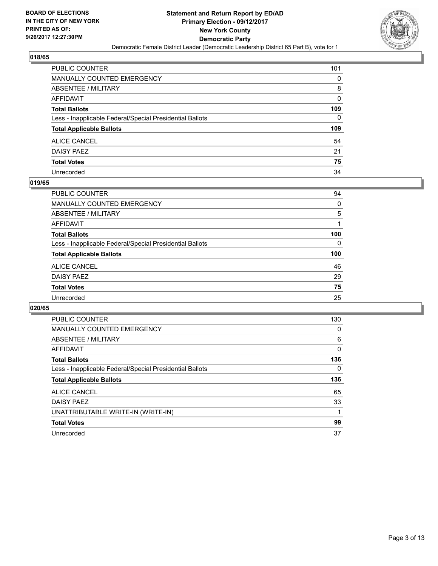

| PUBLIC COUNTER                                           | 101 |
|----------------------------------------------------------|-----|
| MANUALLY COUNTED EMERGENCY                               | 0   |
| ABSENTEE / MILITARY                                      | 8   |
| AFFIDAVIT                                                | 0   |
| Total Ballots                                            | 109 |
| Less - Inapplicable Federal/Special Presidential Ballots | 0   |
| <b>Total Applicable Ballots</b>                          | 109 |
| ALICE CANCEL                                             | 54  |
| <b>DAISY PAEZ</b>                                        | 21  |
| <b>Total Votes</b>                                       | 75  |
| Unrecorded                                               | 34  |

#### **019/65**

| <b>PUBLIC COUNTER</b>                                    | 94       |
|----------------------------------------------------------|----------|
| MANUALLY COUNTED EMERGENCY                               | 0        |
| ABSENTEE / MILITARY                                      | 5        |
| AFFIDAVIT                                                |          |
| <b>Total Ballots</b>                                     | 100      |
| Less - Inapplicable Federal/Special Presidential Ballots | $\Omega$ |
| <b>Total Applicable Ballots</b>                          | 100      |
| <b>ALICE CANCEL</b>                                      | 46       |
| DAISY PAEZ                                               | 29       |
| <b>Total Votes</b>                                       | 75       |
| Unrecorded                                               | 25       |

| <b>PUBLIC COUNTER</b>                                    | 130 |
|----------------------------------------------------------|-----|
| <b>MANUALLY COUNTED EMERGENCY</b>                        | 0   |
| ABSENTEE / MILITARY                                      | 6   |
| AFFIDAVIT                                                | 0   |
| <b>Total Ballots</b>                                     | 136 |
| Less - Inapplicable Federal/Special Presidential Ballots | 0   |
| <b>Total Applicable Ballots</b>                          | 136 |
| <b>ALICE CANCEL</b>                                      | 65  |
| DAISY PAEZ                                               | 33  |
| UNATTRIBUTABLE WRITE-IN (WRITE-IN)                       |     |
| <b>Total Votes</b>                                       | 99  |
| Unrecorded                                               | 37  |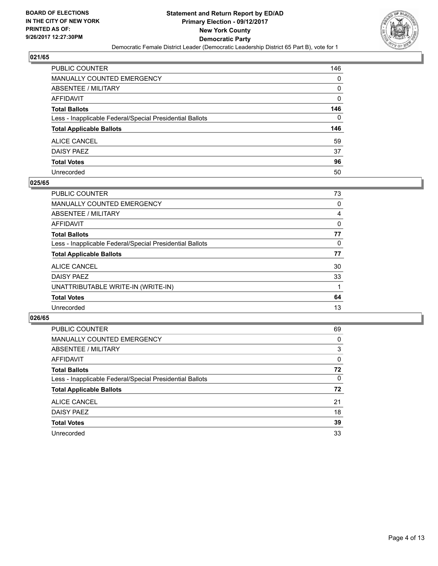

| <b>PUBLIC COUNTER</b>                                    | 146 |
|----------------------------------------------------------|-----|
| MANUALLY COUNTED EMERGENCY                               | 0   |
| ABSENTEE / MILITARY                                      | 0   |
| <b>AFFIDAVIT</b>                                         | 0   |
| <b>Total Ballots</b>                                     | 146 |
| Less - Inapplicable Federal/Special Presidential Ballots | 0   |
| <b>Total Applicable Ballots</b>                          | 146 |
| ALICE CANCEL                                             | 59  |
| DAISY PAEZ                                               | 37  |
| <b>Total Votes</b>                                       | 96  |
| Unrecorded                                               | 50  |

#### **025/65**

| <b>PUBLIC COUNTER</b>                                    | 73 |
|----------------------------------------------------------|----|
| MANUALLY COUNTED EMERGENCY                               | 0  |
| ABSENTEE / MILITARY                                      | 4  |
| AFFIDAVIT                                                | 0  |
| <b>Total Ballots</b>                                     | 77 |
| Less - Inapplicable Federal/Special Presidential Ballots | 0  |
| <b>Total Applicable Ballots</b>                          | 77 |
| <b>ALICE CANCEL</b>                                      | 30 |
| <b>DAISY PAEZ</b>                                        | 33 |
| UNATTRIBUTABLE WRITE-IN (WRITE-IN)                       |    |
| <b>Total Votes</b>                                       | 64 |
| Unrecorded                                               | 13 |

| <b>PUBLIC COUNTER</b>                                    | 69 |
|----------------------------------------------------------|----|
| <b>MANUALLY COUNTED EMERGENCY</b>                        | 0  |
| <b>ABSENTEE / MILITARY</b>                               | 3  |
| AFFIDAVIT                                                | 0  |
| <b>Total Ballots</b>                                     | 72 |
| Less - Inapplicable Federal/Special Presidential Ballots | 0  |
| <b>Total Applicable Ballots</b>                          | 72 |
| ALICE CANCEL                                             | 21 |
| DAISY PAEZ                                               | 18 |
| <b>Total Votes</b>                                       | 39 |
| Unrecorded                                               | 33 |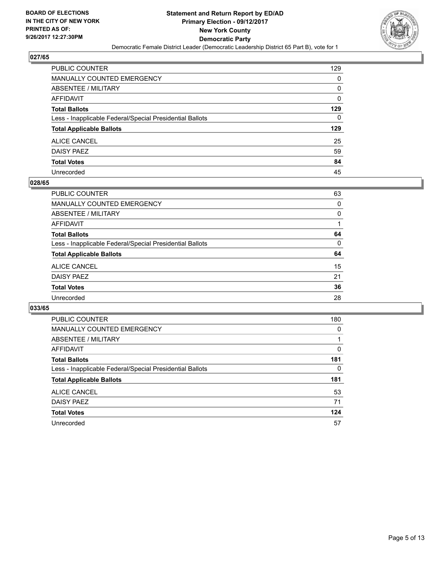

| PUBLIC COUNTER                                           | 129 |
|----------------------------------------------------------|-----|
| MANUALLY COUNTED EMERGENCY                               | 0   |
| ABSENTEE / MILITARY                                      | 0   |
| AFFIDAVIT                                                | 0   |
| <b>Total Ballots</b>                                     | 129 |
| Less - Inapplicable Federal/Special Presidential Ballots | 0   |
| <b>Total Applicable Ballots</b>                          | 129 |
| ALICE CANCEL                                             | 25  |
| DAISY PAEZ                                               | 59  |
| <b>Total Votes</b>                                       | 84  |
| Unrecorded                                               | 45  |

#### **028/65**

| <b>PUBLIC COUNTER</b>                                    | 63 |
|----------------------------------------------------------|----|
| MANUALLY COUNTED EMERGENCY                               | 0  |
| ABSENTEE / MILITARY                                      | 0  |
| AFFIDAVIT                                                |    |
| <b>Total Ballots</b>                                     | 64 |
| Less - Inapplicable Federal/Special Presidential Ballots | 0  |
| <b>Total Applicable Ballots</b>                          | 64 |
| ALICE CANCEL                                             | 15 |
| DAISY PAEZ                                               | 21 |
| <b>Total Votes</b>                                       | 36 |
| Unrecorded                                               | 28 |

| <b>PUBLIC COUNTER</b>                                    | 180 |
|----------------------------------------------------------|-----|
| <b>MANUALLY COUNTED EMERGENCY</b>                        | 0   |
| ABSENTEE / MILITARY                                      |     |
| <b>AFFIDAVIT</b>                                         | 0   |
| <b>Total Ballots</b>                                     | 181 |
| Less - Inapplicable Federal/Special Presidential Ballots | 0   |
| <b>Total Applicable Ballots</b>                          | 181 |
| ALICE CANCEL                                             | 53  |
| DAISY PAEZ                                               | 71  |
| <b>Total Votes</b>                                       | 124 |
| Unrecorded                                               | 57  |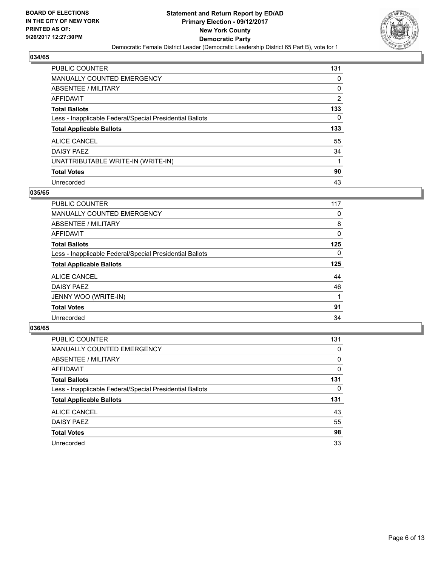

| PUBLIC COUNTER                                           | 131            |
|----------------------------------------------------------|----------------|
| <b>MANUALLY COUNTED EMERGENCY</b>                        | 0              |
| ABSENTEE / MILITARY                                      | 0              |
| AFFIDAVIT                                                | $\overline{2}$ |
| <b>Total Ballots</b>                                     | 133            |
| Less - Inapplicable Federal/Special Presidential Ballots | 0              |
| <b>Total Applicable Ballots</b>                          | 133            |
| ALICE CANCEL                                             | 55             |
| <b>DAISY PAEZ</b>                                        | 34             |
| UNATTRIBUTABLE WRITE-IN (WRITE-IN)                       |                |
| <b>Total Votes</b>                                       | 90             |
| Unrecorded                                               | 43             |

#### **035/65**

| PUBLIC COUNTER                                           | 117      |
|----------------------------------------------------------|----------|
| <b>MANUALLY COUNTED EMERGENCY</b>                        | 0        |
| ABSENTEE / MILITARY                                      | 8        |
| <b>AFFIDAVIT</b>                                         | 0        |
| <b>Total Ballots</b>                                     | 125      |
| Less - Inapplicable Federal/Special Presidential Ballots | $\Omega$ |
| <b>Total Applicable Ballots</b>                          | 125      |
| <b>ALICE CANCEL</b>                                      | 44       |
| <b>DAISY PAEZ</b>                                        | 46       |
| JENNY WOO (WRITE-IN)                                     |          |
| <b>Total Votes</b>                                       | 91       |
| Unrecorded                                               | 34       |

| <b>PUBLIC COUNTER</b>                                    | 131 |
|----------------------------------------------------------|-----|
| MANUALLY COUNTED EMERGENCY                               | 0   |
| ABSENTEE / MILITARY                                      | 0   |
| AFFIDAVIT                                                | 0   |
| <b>Total Ballots</b>                                     | 131 |
| Less - Inapplicable Federal/Special Presidential Ballots | 0   |
| <b>Total Applicable Ballots</b>                          | 131 |
| <b>ALICE CANCEL</b>                                      | 43  |
| DAISY PAEZ                                               | 55  |
| <b>Total Votes</b>                                       | 98  |
| Unrecorded                                               | 33  |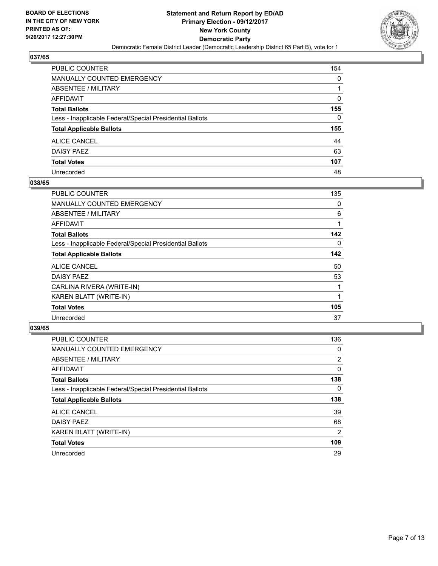

| PUBLIC COUNTER                                           | 154          |
|----------------------------------------------------------|--------------|
| MANUALLY COUNTED EMERGENCY                               | 0            |
| ABSENTEE / MILITARY                                      |              |
| AFFIDAVIT                                                | 0            |
| <b>Total Ballots</b>                                     | 155          |
| Less - Inapplicable Federal/Special Presidential Ballots | $\mathbf{0}$ |
| <b>Total Applicable Ballots</b>                          | 155          |
| ALICE CANCEL                                             | 44           |
| DAISY PAEZ                                               | 63           |
| <b>Total Votes</b>                                       | 107          |
| Unrecorded                                               | 48           |

#### **038/65**

| PUBLIC COUNTER                                           | 135 |
|----------------------------------------------------------|-----|
| <b>MANUALLY COUNTED EMERGENCY</b>                        | 0   |
| ABSENTEE / MILITARY                                      | 6   |
| AFFIDAVIT                                                |     |
| <b>Total Ballots</b>                                     | 142 |
| Less - Inapplicable Federal/Special Presidential Ballots | 0   |
| <b>Total Applicable Ballots</b>                          | 142 |
| <b>ALICE CANCEL</b>                                      | 50  |
| <b>DAISY PAEZ</b>                                        | 53  |
| CARLINA RIVERA (WRITE-IN)                                |     |
| KAREN BLATT (WRITE-IN)                                   |     |
| <b>Total Votes</b>                                       | 105 |
| Unrecorded                                               | 37  |

| <b>PUBLIC COUNTER</b>                                    | 136 |
|----------------------------------------------------------|-----|
| <b>MANUALLY COUNTED EMERGENCY</b>                        | 0   |
| ABSENTEE / MILITARY                                      | 2   |
| AFFIDAVIT                                                | 0   |
| <b>Total Ballots</b>                                     | 138 |
| Less - Inapplicable Federal/Special Presidential Ballots | 0   |
| <b>Total Applicable Ballots</b>                          | 138 |
| <b>ALICE CANCEL</b>                                      | 39  |
| <b>DAISY PAEZ</b>                                        | 68  |
| KAREN BLATT (WRITE-IN)                                   | 2   |
| <b>Total Votes</b>                                       | 109 |
| Unrecorded                                               | 29  |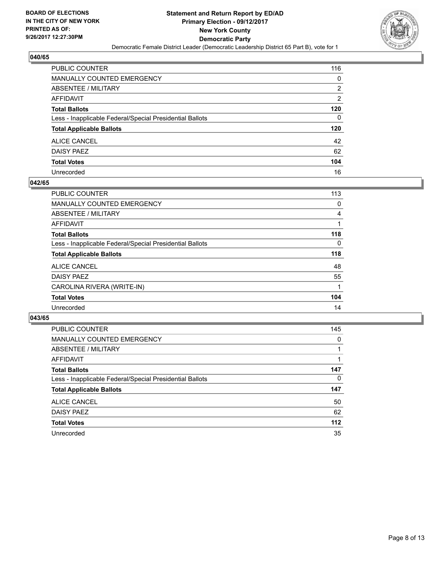

| PUBLIC COUNTER                                           | 116            |
|----------------------------------------------------------|----------------|
| MANUALLY COUNTED EMERGENCY                               | 0              |
| ABSENTEE / MILITARY                                      | 2              |
| <b>AFFIDAVIT</b>                                         | $\overline{2}$ |
| <b>Total Ballots</b>                                     | 120            |
| Less - Inapplicable Federal/Special Presidential Ballots | 0              |
| <b>Total Applicable Ballots</b>                          | 120            |
| ALICE CANCEL                                             | 42             |
| DAISY PAEZ                                               | 62             |
| <b>Total Votes</b>                                       | 104            |
| Unrecorded                                               | 16             |

#### **042/65**

| <b>PUBLIC COUNTER</b>                                    | 113 |
|----------------------------------------------------------|-----|
| MANUALLY COUNTED EMERGENCY                               | 0   |
| ABSENTEE / MILITARY                                      | 4   |
| AFFIDAVIT                                                |     |
| <b>Total Ballots</b>                                     | 118 |
| Less - Inapplicable Federal/Special Presidential Ballots | 0   |
| <b>Total Applicable Ballots</b>                          | 118 |
| <b>ALICE CANCEL</b>                                      | 48  |
| <b>DAISY PAEZ</b>                                        | 55  |
| CAROLINA RIVERA (WRITE-IN)                               |     |
| <b>Total Votes</b>                                       | 104 |
| Unrecorded                                               | 14  |

| PUBLIC COUNTER                                           | 145   |
|----------------------------------------------------------|-------|
| <b>MANUALLY COUNTED EMERGENCY</b>                        | 0     |
| ABSENTEE / MILITARY                                      |       |
| AFFIDAVIT                                                |       |
| <b>Total Ballots</b>                                     | 147   |
| Less - Inapplicable Federal/Special Presidential Ballots | 0     |
| <b>Total Applicable Ballots</b>                          | 147   |
| ALICE CANCEL                                             | 50    |
| <b>DAISY PAEZ</b>                                        | 62    |
| <b>Total Votes</b>                                       | $112$ |
| Unrecorded                                               | 35    |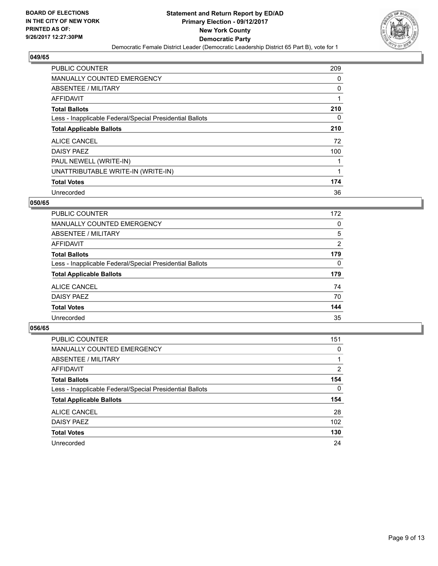

| <b>PUBLIC COUNTER</b>                                    | 209 |
|----------------------------------------------------------|-----|
| MANUALLY COUNTED EMERGENCY                               | 0   |
| ABSENTEE / MILITARY                                      | 0   |
| <b>AFFIDAVIT</b>                                         |     |
| <b>Total Ballots</b>                                     | 210 |
| Less - Inapplicable Federal/Special Presidential Ballots | 0   |
| <b>Total Applicable Ballots</b>                          | 210 |
| <b>ALICE CANCEL</b>                                      | 72  |
| DAISY PAEZ                                               | 100 |
| PAUL NEWELL (WRITE-IN)                                   |     |
| UNATTRIBUTABLE WRITE-IN (WRITE-IN)                       |     |
| <b>Total Votes</b>                                       | 174 |
| Unrecorded                                               | 36  |

#### **050/65**

| PUBLIC COUNTER                                           | 172            |
|----------------------------------------------------------|----------------|
| <b>MANUALLY COUNTED EMERGENCY</b>                        | 0              |
| <b>ABSENTEE / MILITARY</b>                               | 5              |
| <b>AFFIDAVIT</b>                                         | $\overline{2}$ |
| <b>Total Ballots</b>                                     | 179            |
| Less - Inapplicable Federal/Special Presidential Ballots | 0              |
| <b>Total Applicable Ballots</b>                          | 179            |
| <b>ALICE CANCEL</b>                                      | 74             |
| DAISY PAEZ                                               | 70             |
| <b>Total Votes</b>                                       | 144            |
| Unrecorded                                               | 35             |

| <b>PUBLIC COUNTER</b>                                    | 151      |
|----------------------------------------------------------|----------|
| <b>MANUALLY COUNTED EMERGENCY</b>                        | 0        |
| ABSENTEE / MILITARY                                      |          |
| AFFIDAVIT                                                | 2        |
| <b>Total Ballots</b>                                     | 154      |
| Less - Inapplicable Federal/Special Presidential Ballots | $\Omega$ |
| <b>Total Applicable Ballots</b>                          | 154      |
| ALICE CANCEL                                             | 28       |
| <b>DAISY PAEZ</b>                                        | 102      |
| <b>Total Votes</b>                                       | 130      |
| Unrecorded                                               | 24       |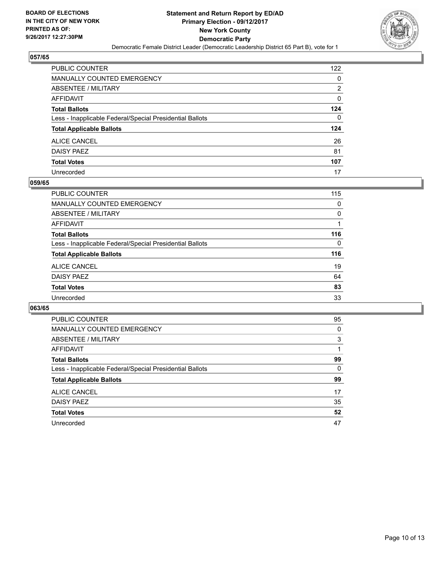

| PUBLIC COUNTER                                           | 122 |
|----------------------------------------------------------|-----|
| MANUALLY COUNTED EMERGENCY                               | 0   |
| ABSENTEE / MILITARY                                      | 2   |
| <b>AFFIDAVIT</b>                                         | 0   |
| <b>Total Ballots</b>                                     | 124 |
| Less - Inapplicable Federal/Special Presidential Ballots | 0   |
| <b>Total Applicable Ballots</b>                          | 124 |
| ALICE CANCEL                                             | 26  |
| DAISY PAEZ                                               | 81  |
| <b>Total Votes</b>                                       | 107 |
| Unrecorded                                               | 17  |

#### **059/65**

| PUBLIC COUNTER                                           | 115      |
|----------------------------------------------------------|----------|
| <b>MANUALLY COUNTED EMERGENCY</b>                        | 0        |
| ABSENTEE / MILITARY                                      | 0        |
| AFFIDAVIT                                                |          |
| <b>Total Ballots</b>                                     | 116      |
| Less - Inapplicable Federal/Special Presidential Ballots | $\Omega$ |
| <b>Total Applicable Ballots</b>                          | 116      |
| <b>ALICE CANCEL</b>                                      | 19       |
| DAISY PAEZ                                               | 64       |
| <b>Total Votes</b>                                       | 83       |
| Unrecorded                                               | 33       |

| <b>PUBLIC COUNTER</b>                                    | 95 |
|----------------------------------------------------------|----|
| <b>MANUALLY COUNTED EMERGENCY</b>                        | 0  |
| ABSENTEE / MILITARY                                      | 3  |
| <b>AFFIDAVIT</b>                                         |    |
| <b>Total Ballots</b>                                     | 99 |
| Less - Inapplicable Federal/Special Presidential Ballots | 0  |
| <b>Total Applicable Ballots</b>                          | 99 |
| ALICE CANCEL                                             | 17 |
| DAISY PAEZ                                               | 35 |
| <b>Total Votes</b>                                       | 52 |
| Unrecorded                                               | 47 |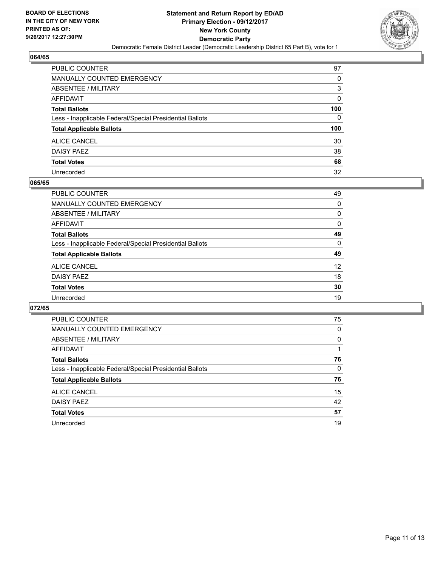

| PUBLIC COUNTER                                           | 97           |
|----------------------------------------------------------|--------------|
| MANUALLY COUNTED EMERGENCY                               | 0            |
| ABSENTEE / MILITARY                                      | 3            |
| AFFIDAVIT                                                | 0            |
| <b>Total Ballots</b>                                     | 100          |
| Less - Inapplicable Federal/Special Presidential Ballots | $\mathbf{0}$ |
| <b>Total Applicable Ballots</b>                          | 100          |
| ALICE CANCEL                                             | 30           |
| <b>DAISY PAEZ</b>                                        | 38           |
| <b>Total Votes</b>                                       | 68           |
| Unrecorded                                               | 32           |

#### **065/65**

| PUBLIC COUNTER                                           | 49 |
|----------------------------------------------------------|----|
| <b>MANUALLY COUNTED EMERGENCY</b>                        | 0  |
| ABSENTEE / MILITARY                                      | 0  |
| AFFIDAVIT                                                | 0  |
| <b>Total Ballots</b>                                     | 49 |
| Less - Inapplicable Federal/Special Presidential Ballots | 0  |
| <b>Total Applicable Ballots</b>                          | 49 |
| <b>ALICE CANCEL</b>                                      | 12 |
| DAISY PAEZ                                               | 18 |
| <b>Total Votes</b>                                       | 30 |
| Unrecorded                                               | 19 |

| <b>PUBLIC COUNTER</b>                                    | 75 |
|----------------------------------------------------------|----|
| <b>MANUALLY COUNTED EMERGENCY</b>                        | 0  |
| <b>ABSENTEE / MILITARY</b>                               | 0  |
| <b>AFFIDAVIT</b>                                         |    |
| <b>Total Ballots</b>                                     | 76 |
| Less - Inapplicable Federal/Special Presidential Ballots | 0  |
| <b>Total Applicable Ballots</b>                          | 76 |
| ALICE CANCEL                                             | 15 |
| <b>DAISY PAEZ</b>                                        | 42 |
| <b>Total Votes</b>                                       | 57 |
| Unrecorded                                               | 19 |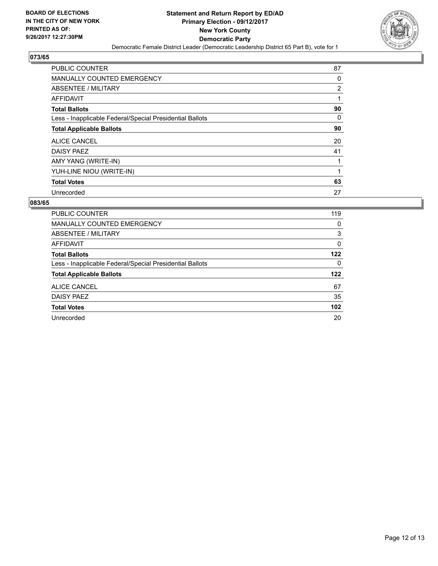

| <b>PUBLIC COUNTER</b>                                    | 87             |
|----------------------------------------------------------|----------------|
| <b>MANUALLY COUNTED EMERGENCY</b>                        | 0              |
| ABSENTEE / MILITARY                                      | $\overline{2}$ |
| AFFIDAVIT                                                |                |
| <b>Total Ballots</b>                                     | 90             |
| Less - Inapplicable Federal/Special Presidential Ballots | 0              |
| <b>Total Applicable Ballots</b>                          | 90             |
| ALICE CANCEL                                             | 20             |
| DAISY PAEZ                                               | 41             |
| AMY YANG (WRITE-IN)                                      |                |
| YUH-LINE NIOU (WRITE-IN)                                 |                |
| <b>Total Votes</b>                                       | 63             |
| Unrecorded                                               | 27             |

| <b>PUBLIC COUNTER</b>                                    | 119 |
|----------------------------------------------------------|-----|
| <b>MANUALLY COUNTED EMERGENCY</b>                        | 0   |
| ABSENTEE / MILITARY                                      | 3   |
| AFFIDAVIT                                                | 0   |
| <b>Total Ballots</b>                                     | 122 |
| Less - Inapplicable Federal/Special Presidential Ballots | 0   |
| <b>Total Applicable Ballots</b>                          | 122 |
| ALICE CANCEL                                             | 67  |
| DAISY PAEZ                                               | 35  |
| <b>Total Votes</b>                                       | 102 |
| Unrecorded                                               | 20  |